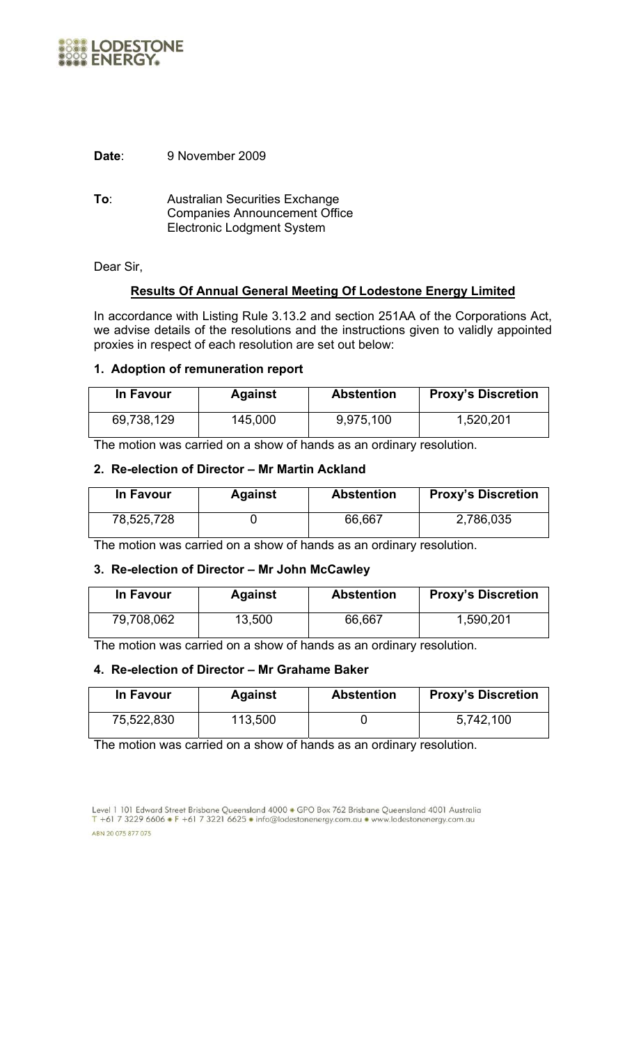

**Date**: 9 November 2009

**To**: Australian Securities Exchange Companies Announcement Office Electronic Lodgment System

Dear Sir,

## **Results Of Annual General Meeting Of Lodestone Energy Limited**

In accordance with Listing Rule 3.13.2 and section 251AA of the Corporations Act, we advise details of the resolutions and the instructions given to validly appointed proxies in respect of each resolution are set out below:

#### **1. Adoption of remuneration report**

| In Favour  | <b>Against</b> | <b>Abstention</b> | <b>Proxy's Discretion</b> |
|------------|----------------|-------------------|---------------------------|
| 69,738,129 | 145,000        | 9,975,100         | 1,520,201                 |

The motion was carried on a show of hands as an ordinary resolution.

#### **2. Re-election of Director – Mr Martin Ackland**

| In Favour  | <b>Against</b> | <b>Abstention</b> | <b>Proxy's Discretion</b> |
|------------|----------------|-------------------|---------------------------|
| 78,525,728 |                | 66,667            | 2,786,035                 |

The motion was carried on a show of hands as an ordinary resolution.

#### **3. Re-election of Director – Mr John McCawley**

| In Favour  | <b>Against</b> | <b>Abstention</b> | <b>Proxy's Discretion</b> |
|------------|----------------|-------------------|---------------------------|
| 79,708,062 | 13,500         | 66,667            | 1,590,201                 |

The motion was carried on a show of hands as an ordinary resolution.

## **4. Re-election of Director – Mr Grahame Baker**

| In Favour  | <b>Against</b> | <b>Abstention</b> | <b>Proxy's Discretion</b> |
|------------|----------------|-------------------|---------------------------|
| 75,522,830 | 113,500        |                   | 5,742,100                 |

The motion was carried on a show of hands as an ordinary resolution.

Level 1 101 Edward Street Brisbane Queensland 4000 • GPO Box 762 Brisbane Queensland 4001 Australia T +61 7 3229 6606 • F +61 7 3221 6625 • info@lodestonenergy.com.au • www.lodestonenergy.com.au ABN 20 075 877 075